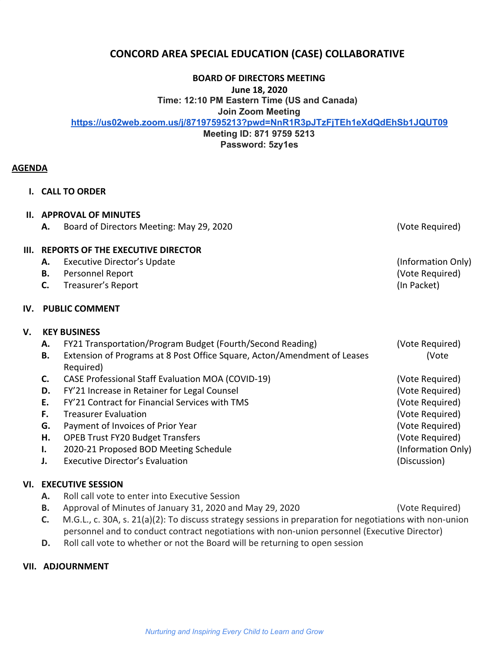# **CONCORD AREA SPECIAL EDUCATION (CASE) COLLABORATIVE**

**BOARD OF DIRECTORS MEETING**

**June 18, 2020**

**Time: 12:10 PM Eastern Time (US and Canada)**

**Join Zoom Meeting**

**<https://us02web.zoom.us/j/87197595213?pwd=NnR1R3pJTzFjTEh1eXdQdEhSb1JQUT09>**

**Meeting ID: 871 9759 5213 Password: 5zy1es**

#### **AGENDA**

**I. CALL TO ORDER**

#### **II. APPROVAL OF MINUTES**

**A.** Board of Directors Meeting: May 29, 2020 (Vote Required)

#### **III. REPORTS OF THE EXECUTIVE DIRECTOR**

- A. Executive Director's Update **A.** Executive Director's Update
- **B.** Personnel Report (Vote Required)
- **C.** Treasurer's Report (In Packet)

#### **IV. PUBLIC COMMENT**

## **V. KEY BUSINESS**

- **A.** FY21 Transportation/Program Budget (Fourth/Second Reading) (Vote Required)
- **B.** Extension of Programs at 8 Post Office Square, Acton/Amendment of Leases (Vote Required)
- **C.** CASE Professional Staff Evaluation MOA (COVID-19) (Vote Required)
- **D.** FY'21 Increase in Retainer for Legal Counsel Counsel County and Manual (Vote Required)
- **E.** FY'21 Contract for Financial Services with TMS (Vote Required)
- **F.** Treasurer Evaluation **F.** Treasurer Evaluation **F.** Treasurer Evaluation **F.** Treasurer Evaluation **F.** The sequired)
- **G.** Payment of Invoices of Prior Year (Vote Required) **G.** Payment of Invoices of Prior Year
- **H.** OPEB Trust FY20 Budget Transfers (Vote Required)
- **I.** 2020-21 Proposed BOD Meeting Schedule (Information Only)
- **J.** Executive Director's Evaluation **Construction** (Discussion)

## **VI. EXECUTIVE SESSION**

- **A.** Roll call vote to enter into Executive Session
- **B.** Approval of Minutes of January 31, 2020 and May 29, 2020 (Vote Required)
- **C.** M.G.L., c. 30A, s. 21(a)(2): To discuss strategy sessions in preparation for negotiations with non-union personnel and to conduct contract negotiations with non-union personnel (Executive Director)
- **D.** Roll call vote to whether or not the Board will be returning to open session

## **VII. ADJOURNMENT**